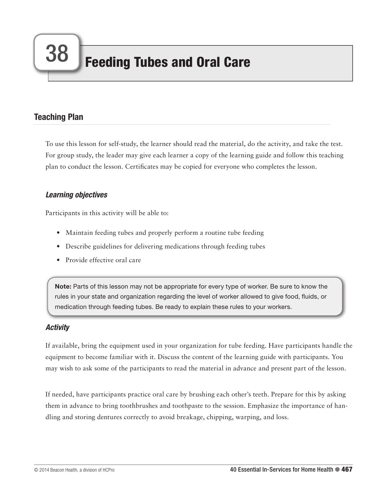# Teaching Plan

To use this lesson for self-study, the learner should read the material, do the activity, and take the test. For group study, the leader may give each learner a copy of the learning guide and follow this teaching plan to conduct the lesson. Certificates may be copied for everyone who completes the lesson.

# *Learning objectives*

Participants in this activity will be able to:

- Maintain feeding tubes and properly perform a routine tube feeding
- Describe guidelines for delivering medications through feeding tubes
- Provide effective oral care

Note: Parts of this lesson may not be appropriate for every type of worker. Be sure to know the rules in your state and organization regarding the level of worker allowed to give food, fluids, or medication through feeding tubes. Be ready to explain these rules to your workers.

# *Activity*

If available, bring the equipment used in your organization for tube feeding. Have participants handle the equipment to become familiar with it. Discuss the content of the learning guide with participants. You may wish to ask some of the participants to read the material in advance and present part of the lesson.

If needed, have participants practice oral care by brushing each other's teeth. Prepare for this by asking them in advance to bring toothbrushes and toothpaste to the session. Emphasize the importance of handling and storing dentures correctly to avoid breakage, chipping, warping, and loss.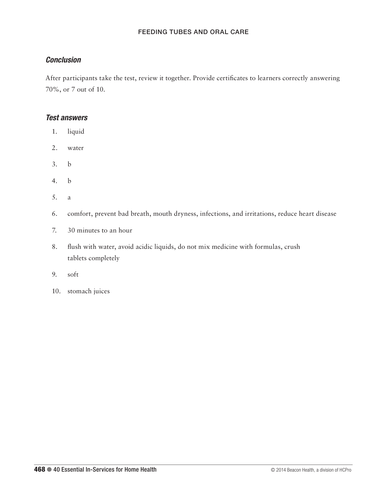# *Conclusion*

After participants take the test, review it together. Provide certificates to learners correctly answering 70%, or 7 out of 10.

## *Test answers*

- 1. liquid
- 2. water
- 3. b
- 4. b
- 5. a
- 6. comfort, prevent bad breath, mouth dryness, infections, and irritations, reduce heart disease
- 7. 30 minutes to an hour
- 8. flush with water, avoid acidic liquids, do not mix medicine with formulas, crush tablets completely
- 9. soft
- 10. stomach juices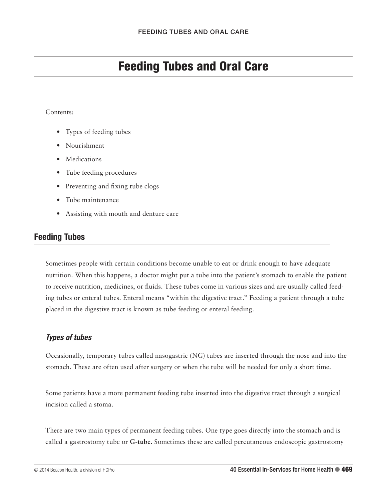# Feeding Tubes and Oral Care

#### Contents:

- Types of feeding tubes
- Nourishment
- Medications
- Tube feeding procedures
- Preventing and fixing tube clogs
- Tube maintenance
- Assisting with mouth and denture care

# Feeding Tubes

Sometimes people with certain conditions become unable to eat or drink enough to have adequate nutrition. When this happens, a doctor might put a tube into the patient's stomach to enable the patient to receive nutrition, medicines, or fluids. These tubes come in various sizes and are usually called feeding tubes or enteral tubes. Enteral means "within the digestive tract." Feeding a patient through a tube placed in the digestive tract is known as tube feeding or enteral feeding.

# *Types of tubes*

Occasionally, temporary tubes called nasogastric (NG) tubes are inserted through the nose and into the stomach. These are often used after surgery or when the tube will be needed for only a short time.

Some patients have a more permanent feeding tube inserted into the digestive tract through a surgical incision called a stoma.

There are two main types of permanent feeding tubes. One type goes directly into the stomach and is called a gastrostomy tube or **G-tube.** Sometimes these are called percutaneous endoscopic gastrostomy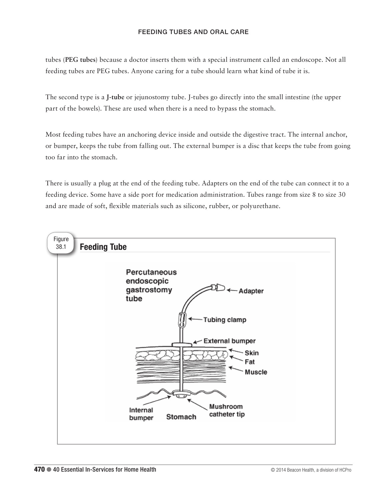tubes (**PEG tubes**) because a doctor inserts them with a special instrument called an endoscope. Not all feeding tubes are PEG tubes. Anyone caring for a tube should learn what kind of tube it is.

The second type is a **J-tube** or jejunostomy tube. J-tubes go directly into the small intestine (the upper part of the bowels). These are used when there is a need to bypass the stomach.

Most feeding tubes have an anchoring device inside and outside the digestive tract. The internal anchor, or bumper, keeps the tube from falling out. The external bumper is a disc that keeps the tube from going too far into the stomach.

There is usually a plug at the end of the feeding tube. Adapters on the end of the tube can connect it to a feeding device. Some have a side port for medication administration. Tubes range from size 8 to size 30 and are made of soft, flexible materials such as silicone, rubber, or polyurethane.

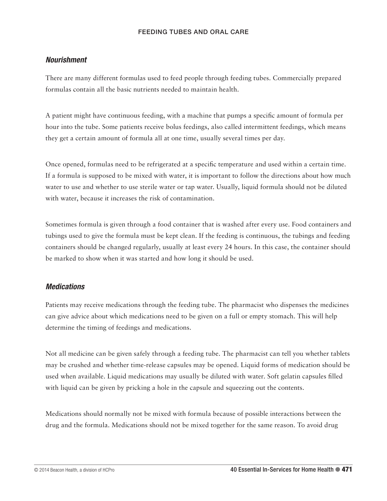## *Nourishment*

There are many different formulas used to feed people through feeding tubes. Commercially prepared formulas contain all the basic nutrients needed to maintain health.

A patient might have continuous feeding, with a machine that pumps a specific amount of formula per hour into the tube. Some patients receive bolus feedings, also called intermittent feedings, which means they get a certain amount of formula all at one time, usually several times per day.

Once opened, formulas need to be refrigerated at a specific temperature and used within a certain time. If a formula is supposed to be mixed with water, it is important to follow the directions about how much water to use and whether to use sterile water or tap water. Usually, liquid formula should not be diluted with water, because it increases the risk of contamination.

Sometimes formula is given through a food container that is washed after every use. Food containers and tubings used to give the formula must be kept clean. If the feeding is continuous, the tubings and feeding containers should be changed regularly, usually at least every 24 hours. In this case, the container should be marked to show when it was started and how long it should be used.

#### *Medications*

Patients may receive medications through the feeding tube. The pharmacist who dispenses the medicines can give advice about which medications need to be given on a full or empty stomach. This will help determine the timing of feedings and medications.

Not all medicine can be given safely through a feeding tube. The pharmacist can tell you whether tablets may be crushed and whether time-release capsules may be opened. Liquid forms of medication should be used when available. Liquid medications may usually be diluted with water. Soft gelatin capsules filled with liquid can be given by pricking a hole in the capsule and squeezing out the contents.

Medications should normally not be mixed with formula because of possible interactions between the drug and the formula. Medications should not be mixed together for the same reason. To avoid drug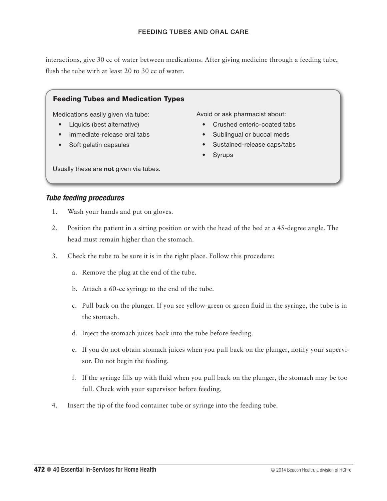interactions, give 30 cc of water between medications. After giving medicine through a feeding tube, flush the tube with at least 20 to 30 cc of water.

## Feeding Tubes and Medication Types

Medications easily given via tube:

- Liquids (best alternative)
- Immediate-release oral tabs
- Soft gelatin capsules

Avoid or ask pharmacist about:

- Crushed enteric-coated tabs
- Sublingual or buccal meds
- Sustained-release caps/tabs
- Syrups

Usually these are not given via tubes.

#### *Tube feeding procedures*

- 1. Wash your hands and put on gloves.
- 2. Position the patient in a sitting position or with the head of the bed at a 45-degree angle. The head must remain higher than the stomach.
- 3. Check the tube to be sure it is in the right place. Follow this procedure:
	- a. Remove the plug at the end of the tube.
	- b. Attach a 60-cc syringe to the end of the tube.
	- c. Pull back on the plunger. If you see yellow-green or green fluid in the syringe, the tube is in the stomach.
	- d. Inject the stomach juices back into the tube before feeding.
	- e. If you do not obtain stomach juices when you pull back on the plunger, notify your supervisor. Do not begin the feeding.
	- f. If the syringe fills up with fluid when you pull back on the plunger, the stomach may be too full. Check with your supervisor before feeding.
- 4. Insert the tip of the food container tube or syringe into the feeding tube.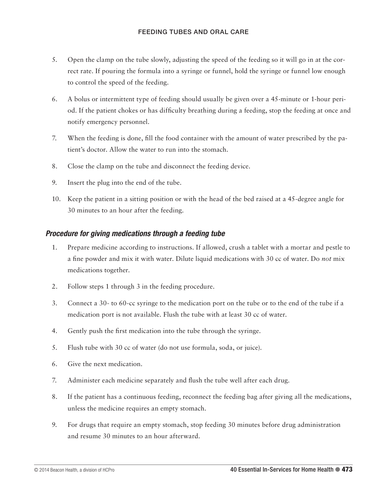- 5. Open the clamp on the tube slowly, adjusting the speed of the feeding so it will go in at the correct rate. If pouring the formula into a syringe or funnel, hold the syringe or funnel low enough to control the speed of the feeding.
- 6. A bolus or intermittent type of feeding should usually be given over a 45-minute or 1-hour period. If the patient chokes or has difficulty breathing during a feeding, stop the feeding at once and notify emergency personnel.
- 7. When the feeding is done, fill the food container with the amount of water prescribed by the patient's doctor. Allow the water to run into the stomach.
- 8. Close the clamp on the tube and disconnect the feeding device.
- 9. Insert the plug into the end of the tube.
- 10. Keep the patient in a sitting position or with the head of the bed raised at a 45-degree angle for 30 minutes to an hour after the feeding.

# *Procedure for giving medications through a feeding tube*

- 1. Prepare medicine according to instructions. If allowed, crush a tablet with a mortar and pestle to a fine powder and mix it with water. Dilute liquid medications with 30 cc of water. Do *not* mix medications together.
- 2. Follow steps 1 through 3 in the feeding procedure.
- 3. Connect a 30- to 60-cc syringe to the medication port on the tube or to the end of the tube if a medication port is not available. Flush the tube with at least 30 cc of water.
- 4. Gently push the first medication into the tube through the syringe.
- 5. Flush tube with 30 cc of water (do not use formula, soda, or juice).
- 6. Give the next medication.
- 7. Administer each medicine separately and flush the tube well after each drug.
- 8. If the patient has a continuous feeding, reconnect the feeding bag after giving all the medications, unless the medicine requires an empty stomach.
- 9. For drugs that require an empty stomach, stop feeding 30 minutes before drug administration and resume 30 minutes to an hour afterward.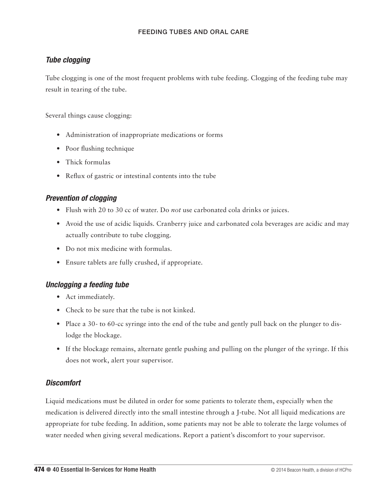# *Tube clogging*

Tube clogging is one of the most frequent problems with tube feeding. Clogging of the feeding tube may result in tearing of the tube.

Several things cause clogging:

- Administration of inappropriate medications or forms
- Poor flushing technique
- Thick formulas
- Reflux of gastric or intestinal contents into the tube

# *Prevention of clogging*

- Flush with 20 to 30 cc of water. Do *not* use carbonated cola drinks or juices.
- Avoid the use of acidic liquids. Cranberry juice and carbonated cola beverages are acidic and may actually contribute to tube clogging.
- Do not mix medicine with formulas.
- Ensure tablets are fully crushed, if appropriate.

# *Unclogging a feeding tube*

- Act immediately.
- Check to be sure that the tube is not kinked.
- Place a 30- to 60-cc syringe into the end of the tube and gently pull back on the plunger to dislodge the blockage.
- If the blockage remains, alternate gentle pushing and pulling on the plunger of the syringe. If this does not work, alert your supervisor.

# *Discomfort*

Liquid medications must be diluted in order for some patients to tolerate them, especially when the medication is delivered directly into the small intestine through a J-tube. Not all liquid medications are appropriate for tube feeding. In addition, some patients may not be able to tolerate the large volumes of water needed when giving several medications. Report a patient's discomfort to your supervisor.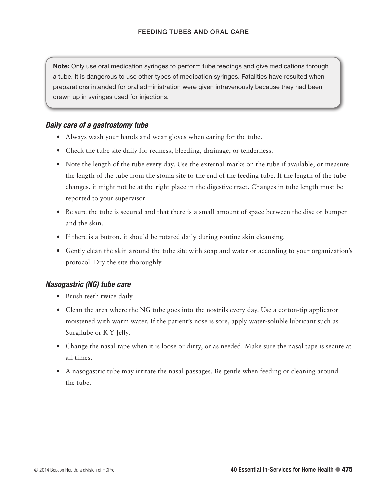Note: Only use oral medication syringes to perform tube feedings and give medications through a tube. It is dangerous to use other types of medication syringes. Fatalities have resulted when preparations intended for oral administration were given intravenously because they had been drawn up in syringes used for injections.

## *Daily care of a gastrostomy tube*

- Always wash your hands and wear gloves when caring for the tube.
- Check the tube site daily for redness, bleeding, drainage, or tenderness.
- Note the length of the tube every day. Use the external marks on the tube if available, or measure the length of the tube from the stoma site to the end of the feeding tube. If the length of the tube changes, it might not be at the right place in the digestive tract. Changes in tube length must be reported to your supervisor.
- Be sure the tube is secured and that there is a small amount of space between the disc or bumper and the skin.
- If there is a button, it should be rotated daily during routine skin cleansing.
- Gently clean the skin around the tube site with soap and water or according to your organization's protocol. Dry the site thoroughly.

# *Nasogastric (NG) tube care*

- Brush teeth twice daily.
- Clean the area where the NG tube goes into the nostrils every day. Use a cotton-tip applicator moistened with warm water. If the patient's nose is sore, apply water-soluble lubricant such as Surgilube or K-Y Jelly.
- Change the nasal tape when it is loose or dirty, or as needed. Make sure the nasal tape is secure at all times.
- A nasogastric tube may irritate the nasal passages. Be gentle when feeding or cleaning around the tube.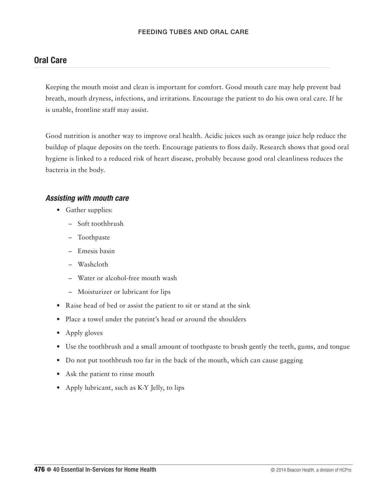# Oral Care

Keeping the mouth moist and clean is important for comfort. Good mouth care may help prevent bad breath, mouth dryness, infections, and irritations. Encourage the patient to do his own oral care. If he is unable, frontline staff may assist.

Good nutrition is another way to improve oral health. Acidic juices such as orange juice help reduce the buildup of plaque deposits on the teeth. Encourage patients to floss daily. Research shows that good oral hygiene is linked to a reduced risk of heart disease, probably because good oral cleanliness reduces the bacteria in the body.

## *Assisting with mouth care*

- Gather supplies:
	- Soft toothbrush
	- Toothpaste
	- Emesis basin
	- Washcloth
	- Water or alcohol-free mouth wash
	- Moisturizer or lubricant for lips
- Raise head of bed or assist the patient to sit or stand at the sink
- Place a towel under the pateint's head or around the shoulders
- Apply gloves
- Use the toothbrush and a small amount of toothpaste to brush gently the teeth, gums, and tongue
- Do not put toothbrush too far in the back of the mouth, which can cause gagging
- Ask the patient to rinse mouth
- Apply lubricant, such as K-Y Jelly, to lips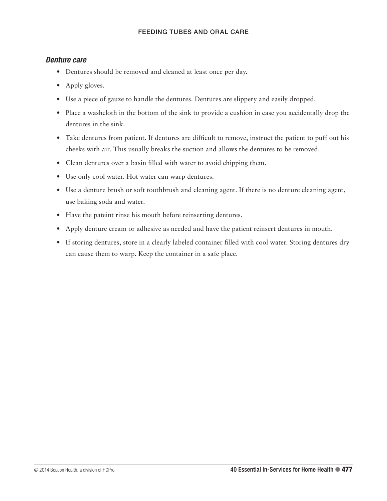## *Denture care*

- Dentures should be removed and cleaned at least once per day.
- Apply gloves.
- Use a piece of gauze to handle the dentures. Dentures are slippery and easily dropped.
- Place a washcloth in the bottom of the sink to provide a cushion in case you accidentally drop the dentures in the sink.
- Take dentures from patient. If dentures are difficult to remove, instruct the patient to puff out his cheeks with air. This usually breaks the suction and allows the dentures to be removed.
- Clean dentures over a basin filled with water to avoid chipping them.
- Use only cool water. Hot water can warp dentures.
- Use a denture brush or soft toothbrush and cleaning agent. If there is no denture cleaning agent, use baking soda and water.
- Have the pateint rinse his mouth before reinserting dentures.
- Apply denture cream or adhesive as needed and have the patient reinsert dentures in mouth.
- If storing dentures, store in a clearly labeled container filled with cool water. Storing dentures dry can cause them to warp. Keep the container in a safe place.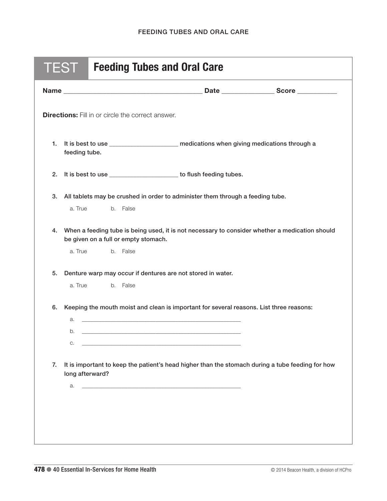| <b>TEST</b><br><b>Feeding Tubes and Oral Care</b>        |                                                                                                                                                               |                                                                                                  |  |  |
|----------------------------------------------------------|---------------------------------------------------------------------------------------------------------------------------------------------------------------|--------------------------------------------------------------------------------------------------|--|--|
|                                                          |                                                                                                                                                               |                                                                                                  |  |  |
| <b>Directions:</b> Fill in or circle the correct answer. |                                                                                                                                                               |                                                                                                  |  |  |
| 1.                                                       | feeding tube.                                                                                                                                                 | It is best to use ________________________ medications when giving medications through a         |  |  |
| 2.                                                       | It is best to use _________________________ to flush feeding tubes.                                                                                           |                                                                                                  |  |  |
| 3.                                                       | a. True<br>b. False                                                                                                                                           | All tablets may be crushed in order to administer them through a feeding tube.                   |  |  |
| 4.                                                       | When a feeding tube is being used, it is not necessary to consider whether a medication should<br>be given on a full or empty stomach.<br>b. False<br>a. True |                                                                                                  |  |  |
| 5.                                                       | Denture warp may occur if dentures are not stored in water.<br>a. True<br>b. False                                                                            |                                                                                                  |  |  |
| 6.                                                       | a.<br>b.<br>C.                                                                                                                                                | Keeping the mouth moist and clean is important for several reasons. List three reasons:          |  |  |
| 7.                                                       | long afterward?<br>a.                                                                                                                                         | It is important to keep the patient's head higher than the stomach during a tube feeding for how |  |  |